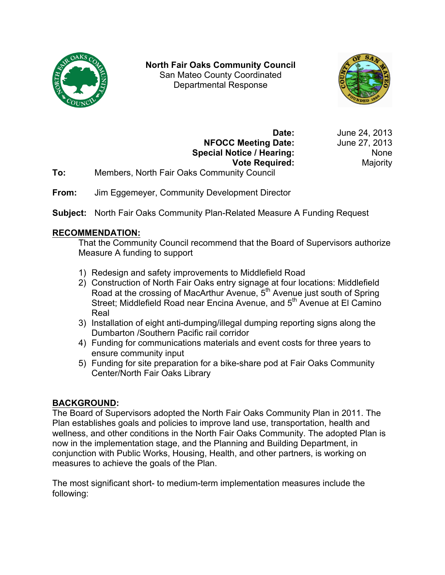

**North Fair Oaks Community Council** San Mateo County Coordinated Departmental Response



**NFOCC Meeting Date:** June 27, 2013 **Special Notice / Hearing:** None **Vote Required:** Majority

**Date:** June 24, 2013

- **To:** Members, North Fair Oaks Community Council
- **From:** Jim Eggemeyer, Community Development Director

**Subject:** North Fair Oaks Community Plan-Related Measure A Funding Request

## **RECOMMENDATION:**

That the Community Council recommend that the Board of Supervisors authorize Measure A funding to support

- 1) Redesign and safety improvements to Middlefield Road
- 2) Construction of North Fair Oaks entry signage at four locations: Middlefield Road at the crossing of MacArthur Avenue, 5<sup>th</sup> Avenue just south of Spring Street; Middlefield Road near Encina Avenue, and 5<sup>th</sup> Avenue at El Camino Real
- 3) Installation of eight anti-dumping/illegal dumping reporting signs along the Dumbarton /Southern Pacific rail corridor
- 4) Funding for communications materials and event costs for three years to ensure community input
- 5) Funding for site preparation for a bike-share pod at Fair Oaks Community Center/North Fair Oaks Library

# **BACKGROUND:**

The Board of Supervisors adopted the North Fair Oaks Community Plan in 2011. The Plan establishes goals and policies to improve land use, transportation, health and wellness, and other conditions in the North Fair Oaks Community. The adopted Plan is now in the implementation stage, and the Planning and Building Department, in conjunction with Public Works, Housing, Health, and other partners, is working on measures to achieve the goals of the Plan.

The most significant short- to medium-term implementation measures include the following: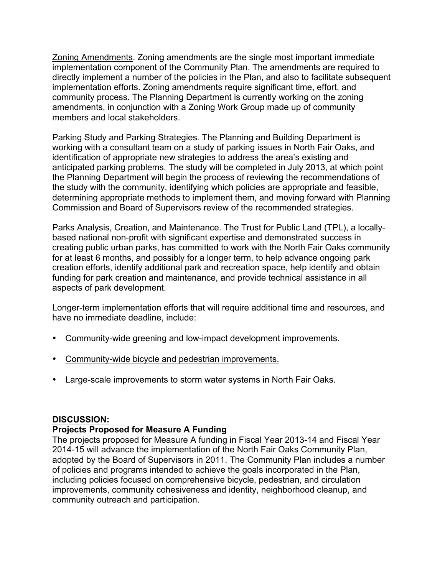Zoning Amendments. Zoning amendments are the single most important immediate implementation component of the Community Plan. The amendments are required to directly implement a number of the policies in the Plan, and also to facilitate subsequent implementation efforts. Zoning amendments require significant time, effort, and community process. The Planning Department is currently working on the zoning amendments, in conjunction with a Zoning Work Group made up of community members and local stakeholders.

Parking Study and Parking Strategies. The Planning and Building Department is working with a consultant team on a study of parking issues in North Fair Oaks, and identification of appropriate new strategies to address the area's existing and anticipated parking problems. The study will be completed in July 2013, at which point the Planning Department will begin the process of reviewing the recommendations of the study with the community, identifying which policies are appropriate and feasible, determining appropriate methods to implement them, and moving forward with Planning Commission and Board of Supervisors review of the recommended strategies.

Parks Analysis, Creation, and Maintenance. The Trust for Public Land (TPL), a locallybased national non-profit with significant expertise and demonstrated success in creating public urban parks, has committed to work with the North Fair Oaks community for at least 6 months, and possibly for a longer term, to help advance ongoing park creation efforts, identify additional park and recreation space, help identify and obtain funding for park creation and maintenance, and provide technical assistance in all aspects of park development.

Longer-term implementation efforts that will require additional time and resources, and have no immediate deadline, include:

- Community-wide greening and low-impact development improvements.
- Community-wide bicycle and pedestrian improvements.
- Large-scale improvements to storm water systems in North Fair Oaks.

#### **DISCUSSION:**

#### **Projects Proposed for Measure A Funding**

The projects proposed for Measure A funding in Fiscal Year 2013-14 and Fiscal Year 2014-15 will advance the implementation of the North Fair Oaks Community Plan, adopted by the Board of Supervisors in 2011. The Community Plan includes a number of policies and programs intended to achieve the goals incorporated in the Plan, including policies focused on comprehensive bicycle, pedestrian, and circulation improvements, community cohesiveness and identity, neighborhood cleanup, and community outreach and participation.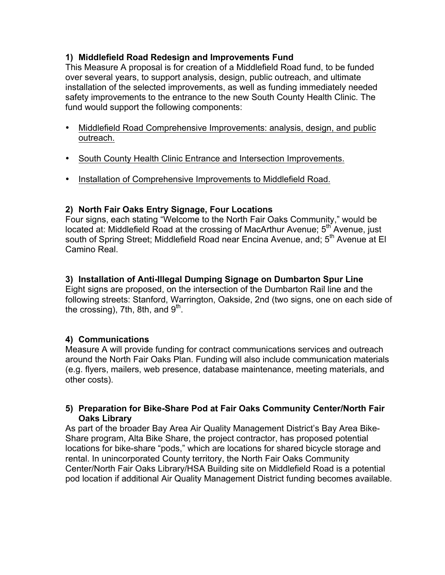## **1) Middlefield Road Redesign and Improvements Fund**

This Measure A proposal is for creation of a Middlefield Road fund, to be funded over several years, to support analysis, design, public outreach, and ultimate installation of the selected improvements, as well as funding immediately needed safety improvements to the entrance to the new South County Health Clinic. The fund would support the following components:

- Middlefield Road Comprehensive Improvements: analysis, design, and public outreach.
- South County Health Clinic Entrance and Intersection Improvements.
- Installation of Comprehensive Improvements to Middlefield Road.

## **2) North Fair Oaks Entry Signage, Four Locations**

Four signs, each stating "Welcome to the North Fair Oaks Community," would be located at: Middlefield Road at the crossing of MacArthur Avenue: 5<sup>th</sup> Avenue, just south of Spring Street; Middlefield Road near Encina Avenue, and; 5<sup>th</sup> Avenue at El Camino Real.

## **3) Installation of Anti-Illegal Dumping Signage on Dumbarton Spur Line**

Eight signs are proposed, on the intersection of the Dumbarton Rail line and the following streets: Stanford, Warrington, Oakside, 2nd (two signs, one on each side of the crossing), 7th, 8th, and  $9<sup>th</sup>$ .

# **4) Communications**

Measure A will provide funding for contract communications services and outreach around the North Fair Oaks Plan. Funding will also include communication materials (e.g. flyers, mailers, web presence, database maintenance, meeting materials, and other costs).

#### **5) Preparation for Bike-Share Pod at Fair Oaks Community Center/North Fair Oaks Library**

As part of the broader Bay Area Air Quality Management District's Bay Area Bike-Share program, Alta Bike Share, the project contractor, has proposed potential locations for bike-share "pods," which are locations for shared bicycle storage and rental. In unincorporated County territory, the North Fair Oaks Community Center/North Fair Oaks Library/HSA Building site on Middlefield Road is a potential pod location if additional Air Quality Management District funding becomes available.